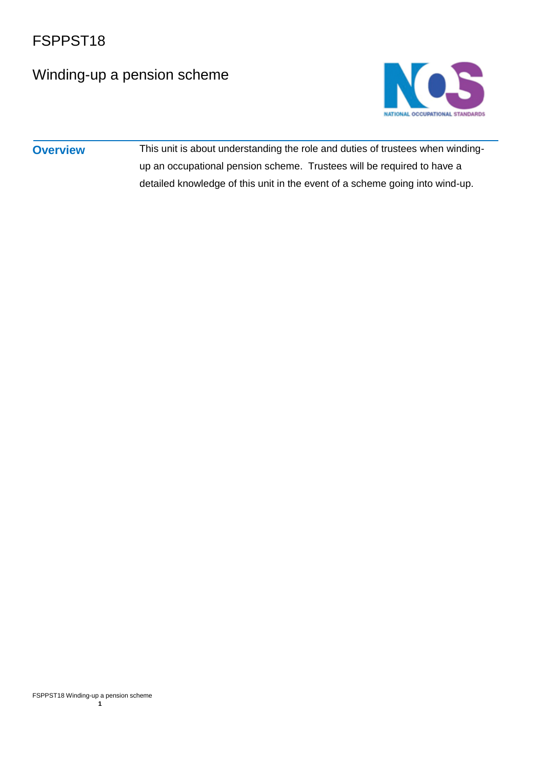## Winding-up a pension scheme



**Overview** This unit is about understanding the role and duties of trustees when windingup an occupational pension scheme. Trustees will be required to have a detailed knowledge of this unit in the event of a scheme going into wind-up.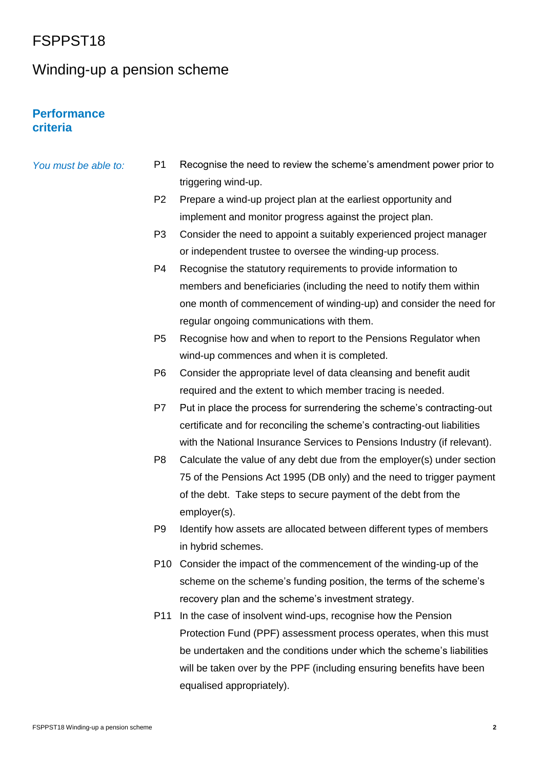### Winding-up a pension scheme

### **Performance criteria**

| You must be able to: | P1             | Recognise the need to review the scheme's amendment power prior to  |
|----------------------|----------------|---------------------------------------------------------------------|
|                      |                | triggering wind-up.                                                 |
|                      | P <sub>2</sub> | Prepare a wind-up project plan at the earliest opportunity and      |
|                      |                | implement and monitor progress against the project plan.            |
|                      | P3             | Consider the need to appoint a suitably experienced project manager |

- or independent trustee to oversee the winding-up process. P4 Recognise the statutory requirements to provide information to members and beneficiaries (including the need to notify them within one month of commencement of winding-up) and consider the need for regular ongoing communications with them.
- P5 Recognise how and when to report to the Pensions Regulator when wind-up commences and when it is completed.
- P6 Consider the appropriate level of data cleansing and benefit audit required and the extent to which member tracing is needed.
- P7 Put in place the process for surrendering the scheme's contracting-out certificate and for reconciling the scheme's contracting-out liabilities with the National Insurance Services to Pensions Industry (if relevant).
- P8 Calculate the value of any debt due from the employer(s) under section 75 of the Pensions Act 1995 (DB only) and the need to trigger payment of the debt. Take steps to secure payment of the debt from the employer(s).
- P9 Identify how assets are allocated between different types of members in hybrid schemes.
- P10 Consider the impact of the commencement of the winding-up of the scheme on the scheme's funding position, the terms of the scheme's recovery plan and the scheme's investment strategy.
- P11 In the case of insolvent wind-ups, recognise how the Pension Protection Fund (PPF) assessment process operates, when this must be undertaken and the conditions under which the scheme's liabilities will be taken over by the PPF (including ensuring benefits have been equalised appropriately).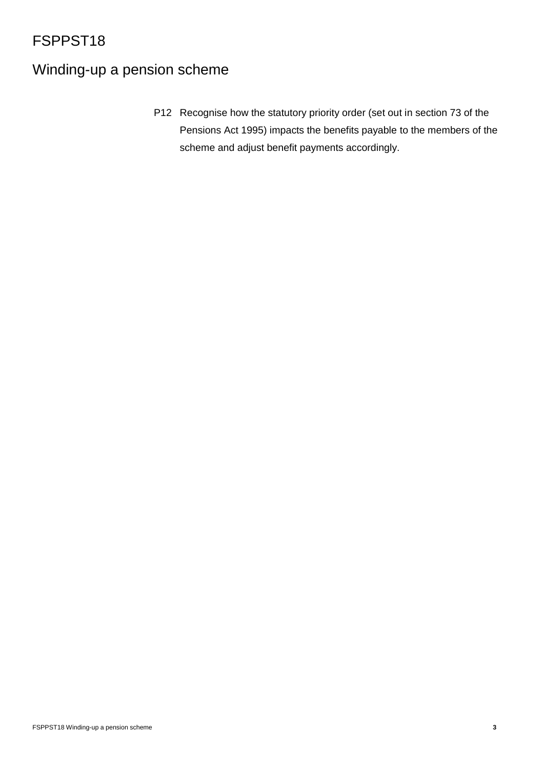# Winding-up a pension scheme

P12 Recognise how the statutory priority order (set out in section 73 of the Pensions Act 1995) impacts the benefits payable to the members of the scheme and adjust benefit payments accordingly.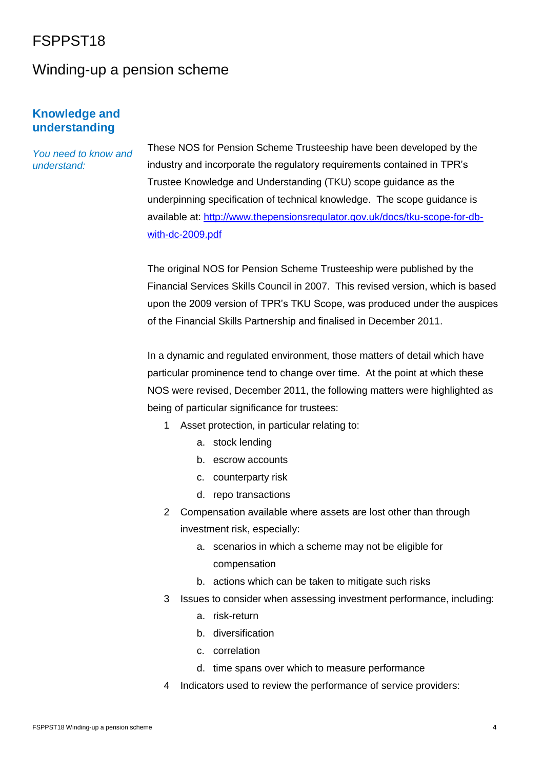### Winding-up a pension scheme

### **Knowledge and understanding**

### *You need to know and understand:*

These NOS for Pension Scheme Trusteeship have been developed by the industry and incorporate the regulatory requirements contained in TPR's Trustee Knowledge and Understanding (TKU) scope guidance as the underpinning specification of technical knowledge. The scope guidance is available at: [http://www.thepensionsregulator.gov.uk/docs/tku-scope-for-db](http://www.thepensionsregulator.gov.uk/docs/tku-scope-for-db-with-dc-2009.pdf)[with-dc-2009.pdf](http://www.thepensionsregulator.gov.uk/docs/tku-scope-for-db-with-dc-2009.pdf)

The original NOS for Pension Scheme Trusteeship were published by the Financial Services Skills Council in 2007. This revised version, which is based upon the 2009 version of TPR's TKU Scope, was produced under the auspices of the Financial Skills Partnership and finalised in December 2011.

In a dynamic and regulated environment, those matters of detail which have particular prominence tend to change over time. At the point at which these NOS were revised, December 2011, the following matters were highlighted as being of particular significance for trustees:

- 1 Asset protection, in particular relating to:
	- a. stock lending
	- b. escrow accounts
	- c. counterparty risk
	- d. repo transactions
- 2 Compensation available where assets are lost other than through investment risk, especially:
	- a. scenarios in which a scheme may not be eligible for compensation
	- b. actions which can be taken to mitigate such risks
- 3 Issues to consider when assessing investment performance, including:
	- a. risk-return
	- b. diversification
	- c. correlation
	- d. time spans over which to measure performance
- 4 Indicators used to review the performance of service providers: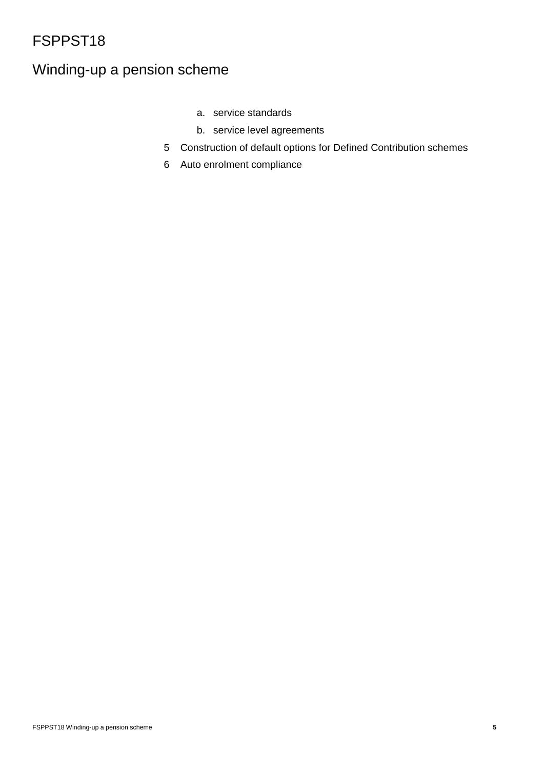# Winding-up a pension scheme

- a. service standards
- b. service level agreements
- 5 Construction of default options for Defined Contribution schemes
- 6 Auto enrolment compliance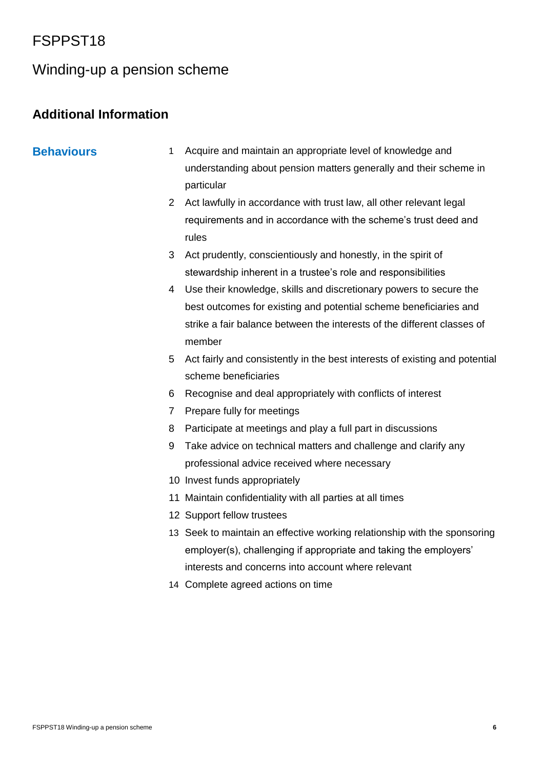### Winding-up a pension scheme

### **Additional Information**

- **Behaviours** 1 Acquire and maintain an appropriate level of knowledge and understanding about pension matters generally and their scheme in particular
	- 2 Act lawfully in accordance with trust law, all other relevant legal requirements and in accordance with the scheme's trust deed and rules
	- 3 Act prudently, conscientiously and honestly, in the spirit of stewardship inherent in a trustee's role and responsibilities
	- 4 Use their knowledge, skills and discretionary powers to secure the best outcomes for existing and potential scheme beneficiaries and strike a fair balance between the interests of the different classes of member
	- 5 Act fairly and consistently in the best interests of existing and potential scheme beneficiaries
	- 6 Recognise and deal appropriately with conflicts of interest
	- 7 Prepare fully for meetings
	- 8 Participate at meetings and play a full part in discussions
	- 9 Take advice on technical matters and challenge and clarify any professional advice received where necessary
	- 10 Invest funds appropriately
	- 11 Maintain confidentiality with all parties at all times
	- 12 Support fellow trustees
	- 13 Seek to maintain an effective working relationship with the sponsoring employer(s), challenging if appropriate and taking the employers' interests and concerns into account where relevant
	- 14 Complete agreed actions on time